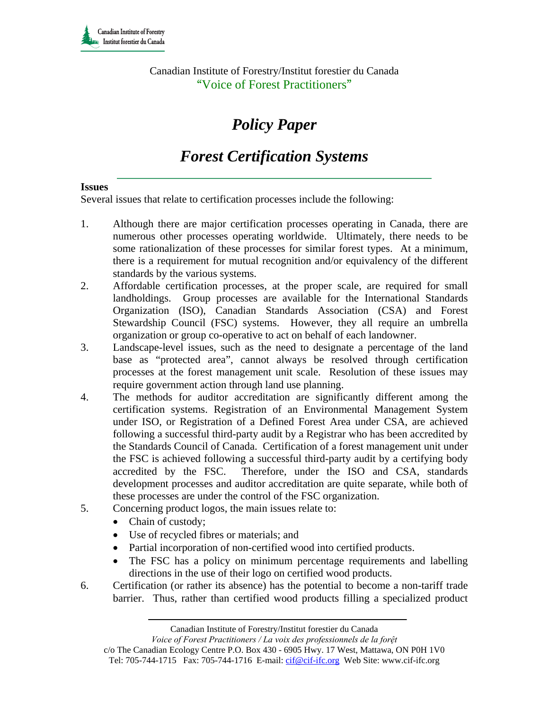Canadian Institute of Forestry/Institut forestier du Canada "Voice of Forest Practitioners"

# *Policy Paper*

## *Forest Certification Systems*

#### **Issues**

Several issues that relate to certification processes include the following:

- 1. Although there are major certification processes operating in Canada, there are numerous other processes operating worldwide. Ultimately, there needs to be some rationalization of these processes for similar forest types. At a minimum, there is a requirement for mutual recognition and/or equivalency of the different standards by the various systems.
- 2. Affordable certification processes, at the proper scale, are required for small landholdings. Group processes are available for the International Standards Organization (ISO), Canadian Standards Association (CSA) and Forest Stewardship Council (FSC) systems. However, they all require an umbrella organization or group co-operative to act on behalf of each landowner.
- 3. Landscape-level issues, such as the need to designate a percentage of the land base as "protected area", cannot always be resolved through certification processes at the forest management unit scale. Resolution of these issues may require government action through land use planning.
- 4. The methods for auditor accreditation are significantly different among the certification systems. Registration of an Environmental Management System under ISO, or Registration of a Defined Forest Area under CSA, are achieved following a successful third-party audit by a Registrar who has been accredited by the Standards Council of Canada. Certification of a forest management unit under the FSC is achieved following a successful third-party audit by a certifying body accredited by the FSC. Therefore, under the ISO and CSA, standards development processes and auditor accreditation are quite separate, while both of these processes are under the control of the FSC organization.
- 5. Concerning product logos, the main issues relate to:
	- Chain of custody;
	- Use of recycled fibres or materials; and
	- Partial incorporation of non-certified wood into certified products.
	- The FSC has a policy on minimum percentage requirements and labelling directions in the use of their logo on certified wood products.
- 6. Certification (or rather its absence) has the potential to become a non-tariff trade barrier. Thus, rather than certified wood products filling a specialized product

Canadian Institute of Forestry/Institut forestier du Canada

*Voice of Forest Practitioners / La voix des professionnels de la forệt* 

c/o The Canadian Ecology Centre P.O. Box 430 - 6905 Hwy. 17 West, Mattawa, ON P0H 1V0 Tel: 705-744-1715 Fax: 705-744-1716 E-mail: cif@cif-ifc.org Web Site: www.cif-ifc.org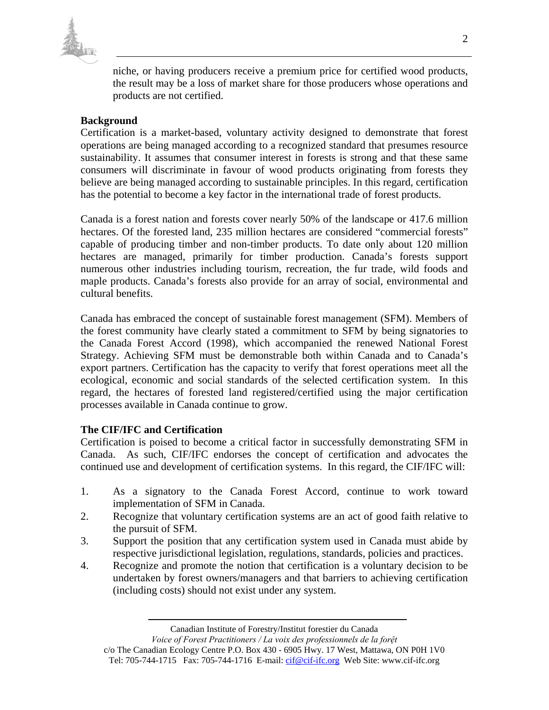

niche, or having producers receive a premium price for certified wood products, the result may be a loss of market share for those producers whose operations and products are not certified.

#### **Background**

Certification is a market-based, voluntary activity designed to demonstrate that forest operations are being managed according to a recognized standard that presumes resource sustainability. It assumes that consumer interest in forests is strong and that these same consumers will discriminate in favour of wood products originating from forests they believe are being managed according to sustainable principles. In this regard, certification has the potential to become a key factor in the international trade of forest products.

Canada is a forest nation and forests cover nearly 50% of the landscape or 417.6 million hectares. Of the forested land, 235 million hectares are considered "commercial forests" capable of producing timber and non-timber products. To date only about 120 million hectares are managed, primarily for timber production. Canada's forests support numerous other industries including tourism, recreation, the fur trade, wild foods and maple products. Canada's forests also provide for an array of social, environmental and cultural benefits.

Canada has embraced the concept of sustainable forest management (SFM). Members of the forest community have clearly stated a commitment to SFM by being signatories to the Canada Forest Accord (1998), which accompanied the renewed National Forest Strategy. Achieving SFM must be demonstrable both within Canada and to Canada's export partners. Certification has the capacity to verify that forest operations meet all the ecological, economic and social standards of the selected certification system. In this regard, the hectares of forested land registered/certified using the major certification processes available in Canada continue to grow.

#### **The CIF/IFC and Certification**

Certification is poised to become a critical factor in successfully demonstrating SFM in Canada. As such, CIF/IFC endorses the concept of certification and advocates the continued use and development of certification systems. In this regard, the CIF/IFC will:

- 1. As a signatory to the Canada Forest Accord, continue to work toward implementation of SFM in Canada.
- 2. Recognize that voluntary certification systems are an act of good faith relative to the pursuit of SFM.
- 3. Support the position that any certification system used in Canada must abide by respective jurisdictional legislation, regulations, standards, policies and practices.
- 4. Recognize and promote the notion that certification is a voluntary decision to be undertaken by forest owners/managers and that barriers to achieving certification (including costs) should not exist under any system.

Canadian Institute of Forestry/Institut forestier du Canada

*Voice of Forest Practitioners / La voix des professionnels de la forệt* 

c/o The Canadian Ecology Centre P.O. Box 430 - 6905 Hwy. 17 West, Mattawa, ON P0H 1V0 Tel: 705-744-1715 Fax: 705-744-1716 E-mail: cif@cif-ifc.org Web Site: www.cif-ifc.org